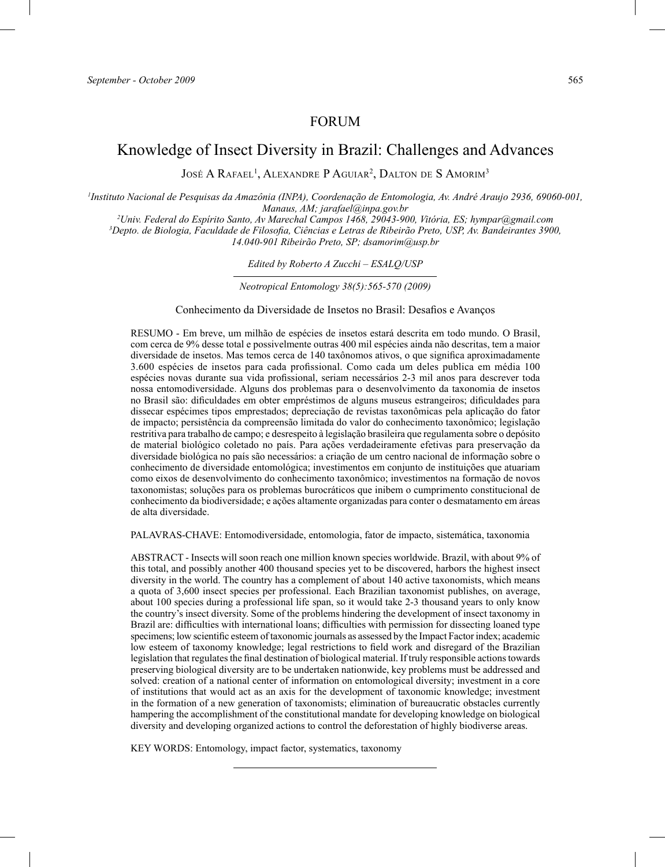## FORUM

# Knowledge of Insect Diversity in Brazil: Challenges and Advances

José A Rafael<sup>1</sup>, Alexandre P Aguiar<sup>2</sup>, Dalton de S Amorim<sup>3</sup>

*1 Instituto Nacional de Pesquisas da Amazônia (INPA), Coordenação de Entomologia, Av. André Araujo 2936, 69060-001, Manaus, AM; jarafael@inpa.gov.br*

*2 Univ. Federal do Espírito Santo, Av Marechal Campos 1468, 29043-900, Vitória, ES; hympar@gmail.com* <sup>3</sup>Depto. de Biologia, Faculdade de Filosofia, Ciências e Letras de Ribeirão Preto, USP, Av. Bandeirantes 3900, *14.040-901 Ribeirão Preto, SP; dsamorim@usp.br*

*Edited by Roberto A Zucchi – ESALQ/USP*

*Neotropical Entomology 38(5):565-570 (2009)*

Conhecimento da Diversidade de Insetos no Brasil: Desafios e Avanços

RESUMO - Em breve, um milhão de espécies de insetos estará descrita em todo mundo. O Brasil, com cerca de 9% desse total e possivelmente outras 400 mil espécies ainda não descritas, tem a maior diversidade de insetos. Mas temos cerca de 140 taxônomos ativos, o que significa aproximadamente 3.600 espécies de insetos para cada profissional. Como cada um deles publica em média 100 espécies novas durante sua vida profissional, seriam necessários 2-3 mil anos para descrever toda nossa entomodiversidade. Alguns dos problemas para o desenvolvimento da taxonomia de insetos no Brasil são: dificuldades em obter empréstimos de alguns museus estrangeiros; dificuldades para dissecar espécimes tipos emprestados; depreciação de revistas taxonômicas pela aplicação do fator de impacto; persistência da compreensão limitada do valor do conhecimento taxonômico; legislação restritiva para trabalho de campo; e desrespeito à legislação brasileira que regulamenta sobre o depósito de material biológico coletado no país. Para ações verdadeiramente efetivas para preservação da diversidade biológica no país são necessários: a criação de um centro nacional de informação sobre o conhecimento de diversidade entomológica; investimentos em conjunto de instituições que atuariam como eixos de desenvolvimento do conhecimento taxonômico; investimentos na formação de novos taxonomistas; soluções para os problemas burocráticos que inibem o cumprimento constitucional de conhecimento da biodiversidade; e ações altamente organizadas para conter o desmatamento em áreas de alta diversidade.

PALAVRAS-CHAVE: Entomodiversidade, entomologia, fator de impacto, sistemática, taxonomia

ABSTRACT - Insects will soon reach one million known species worldwide. Brazil, with about 9% of this total, and possibly another 400 thousand species yet to be discovered, harbors the highest insect diversity in the world. The country has a complement of about 140 active taxonomists, which means a quota of 3,600 insect species per professional. Each Brazilian taxonomist publishes, on average, about 100 species during a professional life span, so it would take 2-3 thousand years to only know the country's insect diversity. Some of the problems hindering the development of insect taxonomy in Brazil are: difficulties with international loans; difficulties with permission for dissecting loaned type specimens; low scientific esteem of taxonomic journals as assessed by the Impact Factor index; academic low esteem of taxonomy knowledge; legal restrictions to field work and disregard of the Brazilian legislation that regulates the final destination of biological material. If truly responsible actions towards preserving biological diversity are to be undertaken nationwide, key problems must be addressed and solved: creation of a national center of information on entomological diversity; investment in a core of institutions that would act as an axis for the development of taxonomic knowledge; investment in the formation of a new generation of taxonomists; elimination of bureaucratic obstacles currently hampering the accomplishment of the constitutional mandate for developing knowledge on biological diversity and developing organized actions to control the deforestation of highly biodiverse areas.

KEY WORDS: Entomology, impact factor, systematics, taxonomy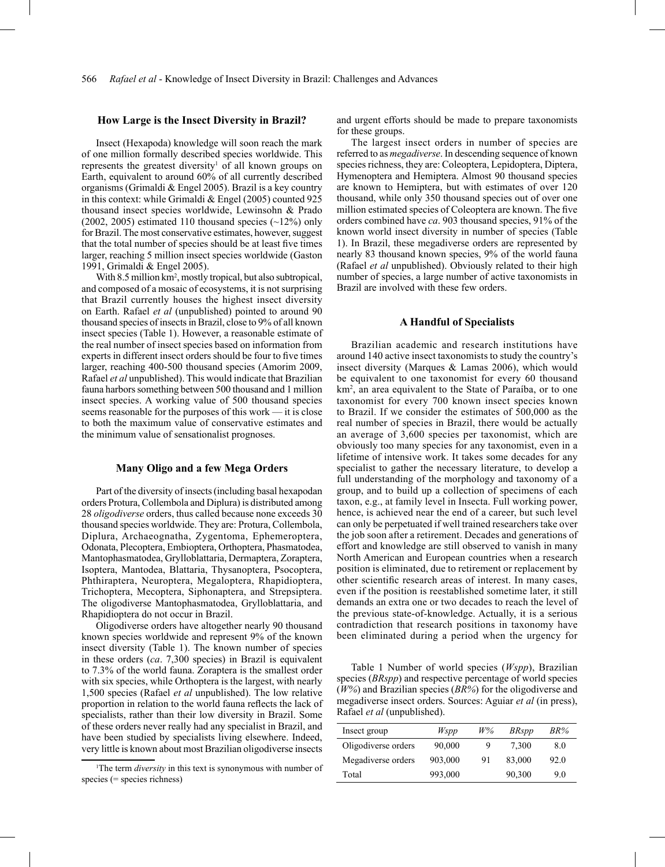### **How Large is the Insect Diversity in Brazil?**

Insect (Hexapoda) knowledge will soon reach the mark of one million formally described species worldwide. This represents the greatest diversity<sup>1</sup> of all known groups on Earth, equivalent to around 60% of all currently described organisms (Grimaldi & Engel 2005). Brazil is a key country in this context: while Grimaldi & Engel (2005) counted 925 thousand insect species worldwide, Lewinsohn & Prado  $(2002, 2005)$  estimated 110 thousand species  $(\sim 12\%)$  only for Brazil. The most conservative estimates, however, suggest that the total number of species should be at least five times larger, reaching 5 million insect species worldwide (Gaston 1991, Grimaldi & Engel 2005).

With 8.5 million km<sup>2</sup>, mostly tropical, but also subtropical, and composed of a mosaic of ecosystems, it is not surprising that Brazil currently houses the highest insect diversity on Earth. Rafael *et al* (unpublished) pointed to around 90 thousand species of insects in Brazil, close to 9% of all known insect species (Table 1). However, a reasonable estimate of the real number of insect species based on information from experts in different insect orders should be four to five times larger, reaching 400-500 thousand species (Amorim 2009, Rafael *et al* unpublished). This would indicate that Brazilian fauna harbors something between 500 thousand and 1 million insect species. A working value of 500 thousand species seems reasonable for the purposes of this work — it is close to both the maximum value of conservative estimates and the minimum value of sensationalist prognoses.

### **Many Oligo and a few Mega Orders**

Part of the diversity of insects (including basal hexapodan orders Protura, Collembola and Diplura) is distributed among 28 *oligodiverse* orders, thus called because none exceeds 30 thousand species worldwide. They are: Protura, Collembola, Diplura, Archaeognatha, Zygentoma, Ephemeroptera, Odonata, Plecoptera, Embioptera, Orthoptera, Phasmatodea, Mantophasmatodea, Grylloblattaria, Dermaptera, Zoraptera, Isoptera, Mantodea, Blattaria, Thysanoptera, Psocoptera, Phthiraptera, Neuroptera, Megaloptera, Rhapidioptera, Trichoptera, Mecoptera, Siphonaptera, and Strepsiptera. The oligodiverse Mantophasmatodea, Grylloblattaria, and Rhapidioptera do not occur in Brazil.

Oligodiverse orders have altogether nearly 90 thousand known species worldwide and represent 9% of the known insect diversity (Table 1). The known number of species in these orders (*ca*. 7,300 species) in Brazil is equivalent to 7.3% of the world fauna. Zoraptera is the smallest order with six species, while Orthoptera is the largest, with nearly 1,500 species (Rafael *et al* unpublished). The low relative proportion in relation to the world fauna reflects the lack of specialists, rather than their low diversity in Brazil. Some of these orders never really had any specialist in Brazil, and have been studied by specialists living elsewhere. Indeed, very little is known about most Brazilian oligodiverse insects and urgent efforts should be made to prepare taxonomists for these groups.

The largest insect orders in number of species are referred to as *megadiverse*. In descending sequence of known species richness, they are: Coleoptera, Lepidoptera, Diptera, Hymenoptera and Hemiptera. Almost 90 thousand species are known to Hemiptera, but with estimates of over 120 thousand, while only 350 thousand species out of over one million estimated species of Coleoptera are known. The five orders combined have *ca*. 903 thousand species, 91% of the known world insect diversity in number of species (Table 1). In Brazil, these megadiverse orders are represented by nearly 83 thousand known species, 9% of the world fauna (Rafael *et al* unpublished). Obviously related to their high number of species, a large number of active taxonomists in Brazil are involved with these few orders.

### **A Handful of Specialists**

Brazilian academic and research institutions have around 140 active insect taxonomists to study the country's insect diversity (Marques & Lamas 2006), which would be equivalent to one taxonomist for every 60 thousand km2 , an area equivalent to the State of Paraíba, or to one taxonomist for every 700 known insect species known to Brazil. If we consider the estimates of 500,000 as the real number of species in Brazil, there would be actually an average of 3,600 species per taxonomist, which are obviously too many species for any taxonomist, even in a lifetime of intensive work. It takes some decades for any specialist to gather the necessary literature, to develop a full understanding of the morphology and taxonomy of a group, and to build up a collection of specimens of each taxon, e.g., at family level in Insecta. Full working power, hence, is achieved near the end of a career, but such level can only be perpetuated if well trained researchers take over the job soon after a retirement. Decades and generations of effort and knowledge are still observed to vanish in many North American and European countries when a research position is eliminated, due to retirement or replacement by other scientific research areas of interest. In many cases, even if the position is reestablished sometime later, it still demands an extra one or two decades to reach the level of the previous state-of-knowledge. Actually, it is a serious contradiction that research positions in taxonomy have been eliminated during a period when the urgency for

Table 1 Number of world species (*Wspp*), Brazilian species (*BRspp*) and respective percentage of world species (*W%*) and Brazilian species (*BR%*) for the oligodiverse and megadiverse insect orders. Sources: Aguiar *et al* (in press), Rafael *et al* (unpublished).

| Insect group        | Wspp    | $W\%$ | BRspp  | BR%  |
|---------------------|---------|-------|--------|------|
| Oligodiverse orders | 90,000  | 9     | 7.300  | 8.0  |
| Megadiverse orders  | 903,000 | 91    | 83,000 | 92.0 |
| Total               | 993,000 |       | 90,300 | 9.0  |

<sup>&</sup>lt;sup>1</sup>The term *diversity* in this text is synonymous with number of species (= species richness)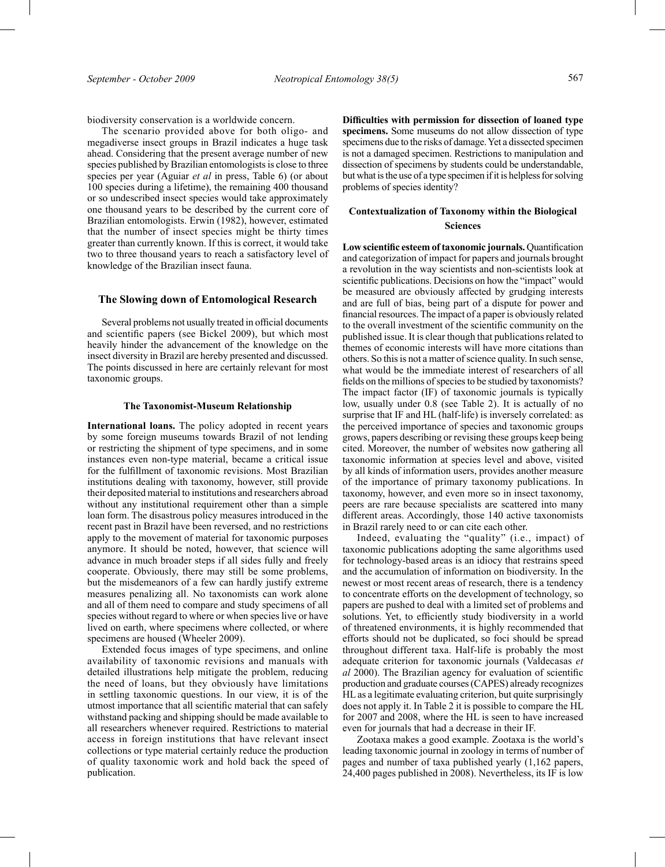biodiversity conservation is a worldwide concern.

The scenario provided above for both oligo- and megadiverse insect groups in Brazil indicates a huge task ahead. Considering that the present average number of new species published by Brazilian entomologists is close to three species per year (Aguiar *et al* in press, Table 6) (or about 100 species during a lifetime), the remaining 400 thousand or so undescribed insect species would take approximately one thousand years to be described by the current core of Brazilian entomologists. Erwin (1982), however, estimated that the number of insect species might be thirty times greater than currently known. If this is correct, it would take two to three thousand years to reach a satisfactory level of knowledge of the Brazilian insect fauna.

### **The Slowing down of Entomological Research**

Several problems not usually treated in official documents and scientific papers (see Bickel 2009), but which most heavily hinder the advancement of the knowledge on the insect diversity in Brazil are hereby presented and discussed. The points discussed in here are certainly relevant for most taxonomic groups.

### **The Taxonomist-Museum Relationship**

**International loans.** The policy adopted in recent years by some foreign museums towards Brazil of not lending or restricting the shipment of type specimens, and in some instances even non-type material, became a critical issue for the fulfillment of taxonomic revisions. Most Brazilian institutions dealing with taxonomy, however, still provide their deposited material to institutions and researchers abroad without any institutional requirement other than a simple loan form. The disastrous policy measures introduced in the recent past in Brazil have been reversed, and no restrictions apply to the movement of material for taxonomic purposes anymore. It should be noted, however, that science will advance in much broader steps if all sides fully and freely cooperate. Obviously, there may still be some problems, but the misdemeanors of a few can hardly justify extreme measures penalizing all. No taxonomists can work alone and all of them need to compare and study specimens of all species without regard to where or when species live or have lived on earth, where specimens where collected, or where specimens are housed (Wheeler 2009).

Extended focus images of type specimens, and online availability of taxonomic revisions and manuals with detailed illustrations help mitigate the problem, reducing the need of loans, but they obviously have limitations in settling taxonomic questions. In our view, it is of the utmost importance that all scientific material that can safely withstand packing and shipping should be made available to all researchers whenever required. Restrictions to material access in foreign institutions that have relevant insect collections or type material certainly reduce the production of quality taxonomic work and hold back the speed of publication.

**Difficulties with permission for dissection of loaned type specimens.** Some museums do not allow dissection of type specimens due to the risks of damage. Yet a dissected specimen is not a damaged specimen. Restrictions to manipulation and dissection of specimens by students could be understandable, but what is the use of a type specimen if it is helpless for solving problems of species identity?

### **Contextualization of Taxonomy within the Biological Sciences**

**Low scientific esteem of taxonomic journals.** Quantification and categorization of impact for papers and journals brought a revolution in the way scientists and non-scientists look at scientific publications. Decisions on how the "impact" would be measured are obviously affected by grudging interests and are full of bias, being part of a dispute for power and financial resources. The impact of a paper is obviously related to the overall investment of the scientific community on the published issue. It is clear though that publications related to themes of economic interests will have more citations than others. So this is not a matter of science quality. In such sense, what would be the immediate interest of researchers of all fields on the millions of species to be studied by taxonomists? The impact factor (IF) of taxonomic journals is typically low, usually under 0.8 (see Table 2). It is actually of no surprise that IF and HL (half-life) is inversely correlated: as the perceived importance of species and taxonomic groups grows, papers describing or revising these groups keep being cited. Moreover, the number of websites now gathering all taxonomic information at species level and above, visited by all kinds of information users, provides another measure of the importance of primary taxonomy publications. In taxonomy, however, and even more so in insect taxonomy, peers are rare because specialists are scattered into many different areas. Accordingly, those 140 active taxonomists in Brazil rarely need to or can cite each other.

Indeed, evaluating the "quality" (i.e., impact) of taxonomic publications adopting the same algorithms used for technology-based areas is an idiocy that restrains speed and the accumulation of information on biodiversity. In the newest or most recent areas of research, there is a tendency to concentrate efforts on the development of technology, so papers are pushed to deal with a limited set of problems and solutions. Yet, to efficiently study biodiversity in a world of threatened environments, it is highly recommended that efforts should not be duplicated, so foci should be spread throughout different taxa. Half-life is probably the most adequate criterion for taxonomic journals (Valdecasas *et al* 2000). The Brazilian agency for evaluation of scientific production and graduate courses (CAPES) already recognizes HL as a legitimate evaluating criterion, but quite surprisingly does not apply it. In Table 2 it is possible to compare the HL for 2007 and 2008, where the HL is seen to have increased even for journals that had a decrease in their IF.

Zootaxa makes a good example. Zootaxa is the world's leading taxonomic journal in zoology in terms of number of pages and number of taxa published yearly (1,162 papers, 24,400 pages published in 2008). Nevertheless, its IF is low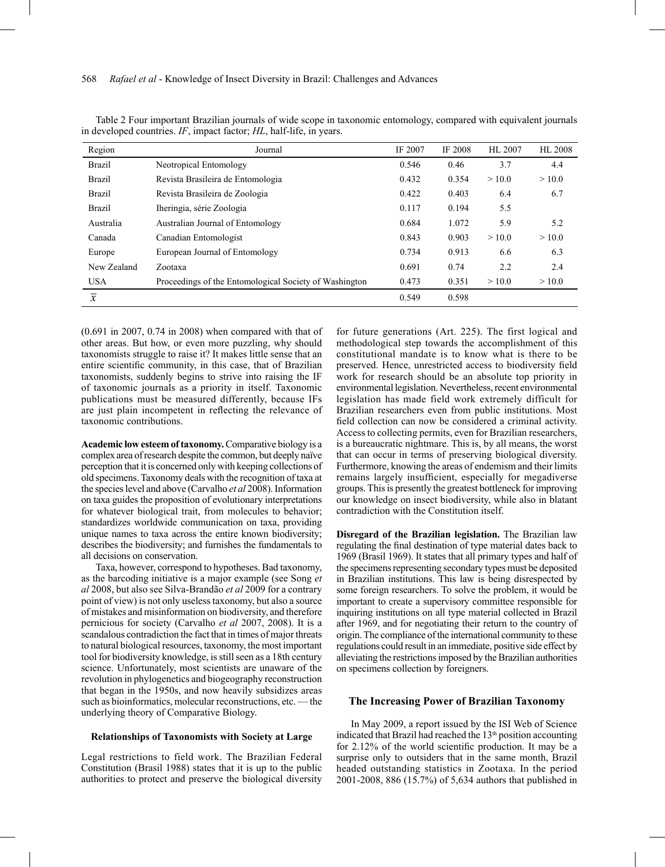| Region         | Journal                                                | IF 2007 | <b>IF 2008</b> | HL 2007 | <b>HL 2008</b> |
|----------------|--------------------------------------------------------|---------|----------------|---------|----------------|
| <b>Brazil</b>  | Neotropical Entomology                                 | 0.546   | 0.46           | 3.7     | 4.4            |
| <b>Brazil</b>  | Revista Brasileira de Entomologia                      | 0.432   | 0.354          | >10.0   | >10.0          |
| <b>Brazil</b>  | Revista Brasileira de Zoologia                         | 0.422   | 0.403          | 6.4     | 6.7            |
| <b>Brazil</b>  | Iheringia, série Zoologia                              | 0.117   | 0.194          | 5.5     |                |
| Australia      | Australian Journal of Entomology                       | 0.684   | 1.072          | 5.9     | 5.2            |
| Canada         | Canadian Entomologist                                  | 0.843   | 0.903          | >10.0   | >10.0          |
| Europe         | European Journal of Entomology                         | 0.734   | 0.913          | 6.6     | 6.3            |
| New Zealand    | Zootaxa                                                | 0.691   | 0.74           | 2.2     | 2.4            |
| <b>USA</b>     | Proceedings of the Entomological Society of Washington | 0.473   | 0.351          | >10.0   | >10.0          |
| $\overline{x}$ |                                                        | 0.549   | 0.598          |         |                |

Table 2 Four important Brazilian journals of wide scope in taxonomic entomology, compared with equivalent journals in developed countries. *IF*, impact factor; *HL*, half-life, in years.

(0.691 in 2007, 0.74 in 2008) when compared with that of other areas. But how, or even more puzzling, why should taxonomists struggle to raise it? It makes little sense that an entire scientific community, in this case, that of Brazilian taxonomists, suddenly begins to strive into raising the IF of taxonomic journals as a priority in itself. Taxonomic publications must be measured differently, because IFs are just plain incompetent in reflecting the relevance of taxonomic contributions.

**Academic low esteem of taxonomy.** Comparative biology is a complex area of research despite the common, but deeply naïve perception that it is concerned only with keeping collections of old specimens. Taxonomy deals with the recognition of taxa at the species level and above (Carvalho *et al* 2008). Information on taxa guides the proposition of evolutionary interpretations for whatever biological trait, from molecules to behavior; standardizes worldwide communication on taxa, providing unique names to taxa across the entire known biodiversity; describes the biodiversity; and furnishes the fundamentals to all decisions on conservation.

Taxa, however, correspond to hypotheses. Bad taxonomy, as the barcoding initiative is a major example (see Song *et al* 2008, but also see Silva-Brandão *et al* 2009 for a contrary point of view) is not only useless taxonomy, but also a source of mistakes and misinformation on biodiversity, and therefore pernicious for society (Carvalho *et al* 2007, 2008). It is a scandalous contradiction the fact that in times of major threats to natural biological resources, taxonomy, the most important tool for biodiversity knowledge, is still seen as a 18th century science. Unfortunately, most scientists are unaware of the revolution in phylogenetics and biogeography reconstruction that began in the 1950s, and now heavily subsidizes areas such as bioinformatics, molecular reconstructions, etc. — the underlying theory of Comparative Biology.

#### **Relationships of Taxonomists with Society at Large**

Legal restrictions to field work. The Brazilian Federal Constitution (Brasil 1988) states that it is up to the public authorities to protect and preserve the biological diversity

for future generations (Art. 225). The first logical and methodological step towards the accomplishment of this constitutional mandate is to know what is there to be preserved. Hence, unrestricted access to biodiversity field work for research should be an absolute top priority in environmental legislation. Nevertheless, recent environmental legislation has made field work extremely difficult for Brazilian researchers even from public institutions. Most field collection can now be considered a criminal activity. Access to collecting permits, even for Brazilian researchers, is a bureaucratic nightmare. This is, by all means, the worst that can occur in terms of preserving biological diversity. Furthermore, knowing the areas of endemism and their limits remains largely insufficient, especially for megadiverse groups. This is presently the greatest bottleneck for improving our knowledge on insect biodiversity, while also in blatant contradiction with the Constitution itself.

**Disregard of the Brazilian legislation.** The Brazilian law regulating the final destination of type material dates back to 1969 (Brasil 1969). It states that all primary types and half of the specimens representing secondary types must be deposited in Brazilian institutions. This law is being disrespected by some foreign researchers. To solve the problem, it would be important to create a supervisory committee responsible for inquiring institutions on all type material collected in Brazil after 1969, and for negotiating their return to the country of origin. The compliance of the international community to these regulations could result in an immediate, positive side effect by alleviating the restrictions imposed by the Brazilian authorities on specimens collection by foreigners.

### **The Increasing Power of Brazilian Taxonomy**

In May 2009, a report issued by the ISI Web of Science indicated that Brazil had reached the 13<sup>th</sup> position accounting for  $2.12\%$  of the world scientific production. It may be a surprise only to outsiders that in the same month, Brazil headed outstanding statistics in Zootaxa. In the period 2001-2008, 886 (15.7%) of 5,634 authors that published in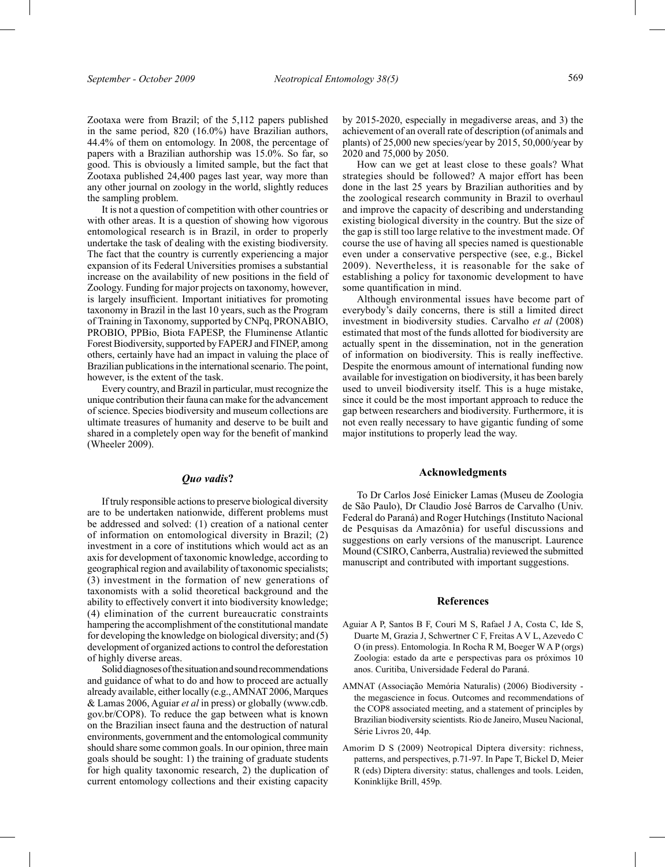Zootaxa were from Brazil; of the 5,112 papers published in the same period, 820 (16.0%) have Brazilian authors, 44.4% of them on entomology. In 2008, the percentage of papers with a Brazilian authorship was 15.0%. So far, so good. This is obviously a limited sample, but the fact that Zootaxa published 24,400 pages last year, way more than any other journal on zoology in the world, slightly reduces the sampling problem.

It is not a question of competition with other countries or with other areas. It is a question of showing how vigorous entomological research is in Brazil, in order to properly undertake the task of dealing with the existing biodiversity. The fact that the country is currently experiencing a major expansion of its Federal Universities promises a substantial increase on the availability of new positions in the field of Zoology. Funding for major projects on taxonomy, however, is largely insufficient. Important initiatives for promoting taxonomy in Brazil in the last 10 years, such as the Program of Training in Taxonomy, supported by CNPq, PRONABIO, PROBIO, PPBio, Biota FAPESP, the Fluminense Atlantic Forest Biodiversity, supported by FAPERJ and FINEP, among others, certainly have had an impact in valuing the place of Brazilian publications in the international scenario. The point, however, is the extent of the task.

Every country, and Brazil in particular, must recognize the unique contribution their fauna can make for the advancement of science. Species biodiversity and museum collections are ultimate treasures of humanity and deserve to be built and shared in a completely open way for the benefit of mankind (Wheeler 2009).

### *Quo vadis***?**

If truly responsible actions to preserve biological diversity are to be undertaken nationwide, different problems must be addressed and solved: (1) creation of a national center of information on entomological diversity in Brazil; (2) investment in a core of institutions which would act as an axis for development of taxonomic knowledge, according to geographical region and availability of taxonomic specialists; (3) investment in the formation of new generations of taxonomists with a solid theoretical background and the ability to effectively convert it into biodiversity knowledge; (4) elimination of the current bureaucratic constraints hampering the accomplishment of the constitutional mandate for developing the knowledge on biological diversity; and (5) development of organized actions to control the deforestation of highly diverse areas.

Solid diagnoses of the situation and sound recommendations and guidance of what to do and how to proceed are actually already available, either locally (e.g., AMNAT 2006, Marques & Lamas 2006, Aguiar *et al* in press) or globally (www.cdb. gov.br/COP8). To reduce the gap between what is known on the Brazilian insect fauna and the destruction of natural environments, government and the entomological community should share some common goals. In our opinion, three main goals should be sought: 1) the training of graduate students for high quality taxonomic research, 2) the duplication of current entomology collections and their existing capacity by 2015-2020, especially in megadiverse areas, and 3) the achievement of an overall rate of description (of animals and plants) of 25,000 new species/year by 2015, 50,000/year by 2020 and 75,000 by 2050.

How can we get at least close to these goals? What strategies should be followed? A major effort has been done in the last 25 years by Brazilian authorities and by the zoological research community in Brazil to overhaul and improve the capacity of describing and understanding existing biological diversity in the country. But the size of the gap is still too large relative to the investment made. Of course the use of having all species named is questionable even under a conservative perspective (see, e.g., Bickel 2009). Nevertheless, it is reasonable for the sake of establishing a policy for taxonomic development to have some quantification in mind.

Although environmental issues have become part of everybody's daily concerns, there is still a limited direct investment in biodiversity studies. Carvalho *et al* (2008) estimated that most of the funds allotted for biodiversity are actually spent in the dissemination, not in the generation of information on biodiversity. This is really ineffective. Despite the enormous amount of international funding now available for investigation on biodiversity, it has been barely used to unveil biodiversity itself. This is a huge mistake, since it could be the most important approach to reduce the gap between researchers and biodiversity. Furthermore, it is not even really necessary to have gigantic funding of some major institutions to properly lead the way.

### **Acknowledgments**

To Dr Carlos José Einicker Lamas (Museu de Zoologia de São Paulo), Dr Claudio José Barros de Carvalho (Univ. Federal do Paraná) and Roger Hutchings (Instituto Nacional de Pesquisas da Amazônia) for useful discussions and suggestions on early versions of the manuscript. Laurence Mound (CSIRO, Canberra, Australia) reviewed the submitted manuscript and contributed with important suggestions.

### **References**

- Aguiar A P, Santos B F, Couri M S, Rafael J A, Costa C, Ide S, Duarte M, Grazia J, Schwertner C F, Freitas A V L, Azevedo C O (in press). Entomologia. In Rocha R M, Boeger W A P (orgs) Zoologia: estado da arte e perspectivas para os próximos 10 anos. Curitiba, Universidade Federal do Paraná.
- AMNAT (Associação Memória Naturalis) (2006) Biodiversity the megascience in focus. Outcomes and recommendations of the COP8 associated meeting, and a statement of principles by Brazilian biodiversity scientists. Rio de Janeiro, Museu Nacional, Série Livros 20, 44p.
- Amorim D S (2009) Neotropical Diptera diversity: richness, patterns, and perspectives, p.71-97. In Pape T, Bickel D, Meier R (eds) Diptera diversity: status, challenges and tools. Leiden, Koninklijke Brill, 459p.